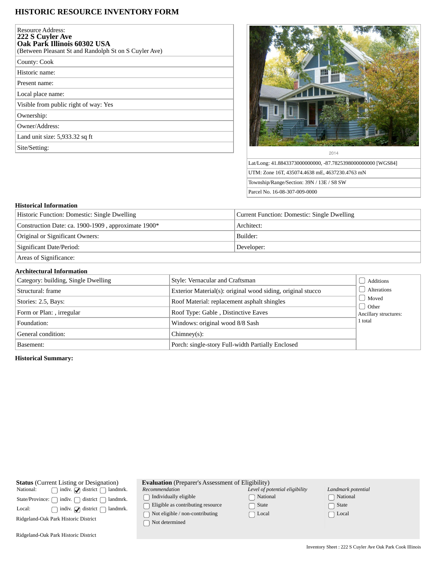# **HISTORIC RESOURCE INVENTORY FORM**

| Resource Address:<br>222 S Cuyler Ave<br>Oak Park Illinois 60302 USA<br>(Between Pleasant St and Randolph St on S Cuyler Ave) |
|-------------------------------------------------------------------------------------------------------------------------------|
| County: Cook                                                                                                                  |
| Historic name:                                                                                                                |
| Present name:                                                                                                                 |
| Local place name:                                                                                                             |
| Visible from public right of way: Yes                                                                                         |
| Ownership:                                                                                                                    |
| Owner/Address:                                                                                                                |
| Land unit size: 5,933.32 sq ft                                                                                                |
| Site/Setting:                                                                                                                 |
|                                                                                                                               |



Lat/Long: 41.8843373000000000, -87.7825398000000000 [WGS84] UTM: Zone 16T, 435074.4638 mE, 4637230.4763 mN Township/Range/Section: 39N / 13E / S8 SW Parcel No. 16-08-307-009-0000

# **Historical Information**

| Historic Function: Domestic: Single Dwelling        | Current Function: Domestic: Single Dwelling |
|-----------------------------------------------------|---------------------------------------------|
| Construction Date: ca. 1900-1909, approximate 1900* | Architect:                                  |
| Original or Significant Owners:                     | Builder:                                    |
| Significant Date/Period:                            | Developer:                                  |
| Areas of Significance:                              |                                             |

## **Architectural Information**

| Category: building, Single Dwelling | Style: Vernacular and Craftsman                             | Additions             |
|-------------------------------------|-------------------------------------------------------------|-----------------------|
| Structural: frame                   | Exterior Material(s): original wood siding, original stucco | Alterations           |
| Stories: 2.5, Bays:                 | Roof Material: replacement asphalt shingles                 | Moved<br>J Other      |
| Form or Plan: , irregular           | Roof Type: Gable, Distinctive Eaves                         | Ancillary structures: |
| Foundation:                         | Windows: original wood 8/8 Sash                             | 1 total               |
| General condition:                  | $Chimney(s)$ :                                              |                       |
| Basement:                           | Porch: single-story Full-width Partially Enclosed           |                       |

# **Historical Summary:**

| <b>Status</b> (Current Listing or Designation)                | <b>Evaluation</b> (Preparer's Assessment of Eligibility) |                                |                    |  |
|---------------------------------------------------------------|----------------------------------------------------------|--------------------------------|--------------------|--|
| indiv. $\Box$ district $\Box$ landmrk.<br>National:           | Recommendation                                           | Level of potential eligibility | Landmark potential |  |
| indiv.<br>district f<br>State/Province: $\bigcap$<br>landmrk. | $\Box$ Individually eligible                             | National                       | National           |  |
| indiv. $\bigcirc$ district $\bigcap$<br>Local:<br>  landmrk.  | $\Box$ Eligible as contributing resource                 | State                          | State              |  |
|                                                               | $\bigcap$ Not eligible / non-contributing                | Local                          | $\bigcap$ Local    |  |
| Ridgeland-Oak Park Historic District                          | $\bigcap$ Not determined                                 |                                |                    |  |
| Ridgeland-Oak Park Historic District                          |                                                          |                                |                    |  |